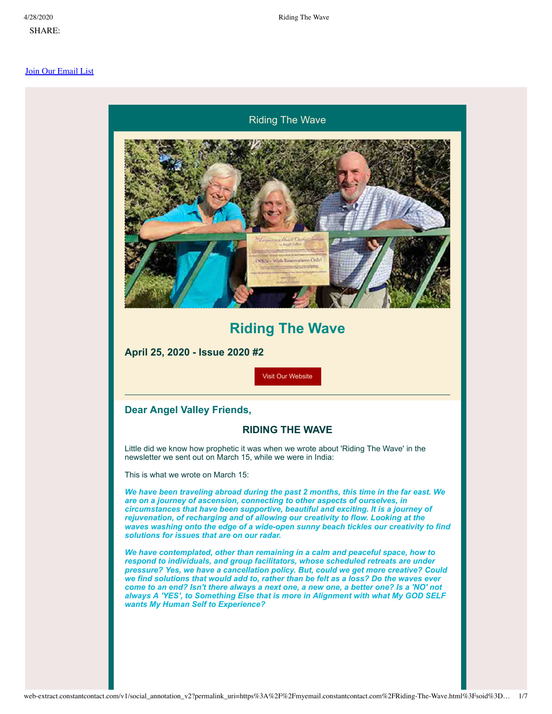[S](https://s.rs6.net/t?e=JdAy18l0Ano&c=1&r=1)HARE:

#### [Join Our Email List](https://visitor.constantcontact.com/d.jsp?m=1101697492566&p=oi)

#### Riding The Wave



## **Riding The Wave**

**April 25, 2020 - Issue 2020 #2**

[Visit Our Website](http://www.angelvalleysedona.com/?utm_source=Newsletter%2C+April+25%2C+2020&utm_campaign=Newsletter+April+25%2C+2020&utm_medium=email)

#### **Dear Angel Valley Friends,**

#### **RIDING THE WAVE**

Little did we know how prophetic it was when we wrote about 'Riding The Wave' in the newsletter we sent out on March 15, while we were in India:

This is what we wrote on March 15:

*We have been traveling abroad during the past 2 months, this time in the far east. We are on a journey of ascension, connecting to other aspects of ourselves, in circumstances that have been supportive, beautiful and exciting. It is a journey of rejuvenation, of recharging and of allowing our creativity to flow. Looking at the waves washing onto the edge of a wide-open sunny beach tickles our creativity to find solutions for issues that are on our radar.*

*We have contemplated, other than remaining in a calm and peaceful space, how to respond to individuals, and group facilitators, whose scheduled retreats are under pressure? Yes, we have a cancellation policy. But, could we get more creative? Could we find solutions that would add to, rather than be felt as a loss? Do the waves ever* come to an end? Isn't there always a next one, a new one, a better one? Is a 'NO' not *always A 'YES', to Something Else that is more in Alignment with what My GOD SELF wants My Human Self to Experience?*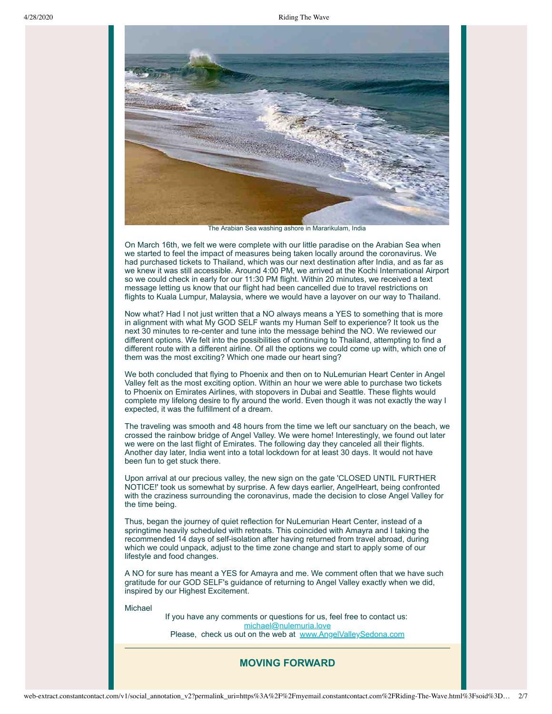

The Arabian Sea washing ashore in Mararikulam, India

On March 16th, we felt we were complete with our little paradise on the Arabian Sea when we started to feel the impact of measures being taken locally around the coronavirus. We had purchased tickets to Thailand, which was our next destination after India, and as far as we knew it was still accessible. Around 4:00 PM, we arrived at the Kochi International Airport so we could check in early for our 11:30 PM flight. Within 20 minutes, we received a text message letting us know that our flight had been cancelled due to travel restrictions on flights to Kuala Lumpur, Malaysia, where we would have a layover on our way to Thailand.

Now what? Had I not just written that a NO always means a YES to something that is more in alignment with what My GOD SELF wants my Human Self to experience? It took us the next 30 minutes to re-center and tune into the message behind the NO. We reviewed our different options. We felt into the possibilities of continuing to Thailand, attempting to find a different route with a different airline. Of all the options we could come up with, which one of them was the most exciting? Which one made our heart sing?

We both concluded that flying to Phoenix and then on to NuLemurian Heart Center in Angel Valley felt as the most exciting option. Within an hour we were able to purchase two tickets to Phoenix on Emirates Airlines, with stopovers in Dubai and Seattle. These flights would complete my lifelong desire to fly around the world. Even though it was not exactly the way I expected, it was the fulfillment of a dream.

The traveling was smooth and 48 hours from the time we left our sanctuary on the beach, we crossed the rainbow bridge of Angel Valley. We were home! Interestingly, we found out later we were on the last flight of Emirates. The following day they canceled all their flights. Another day later, India went into a total lockdown for at least 30 days. It would not have been fun to get stuck there.

Upon arrival at our precious valley, the new sign on the gate 'CLOSED UNTIL FURTHER NOTICE!' took us somewhat by surprise. A few days earlier, AngelHeart, being confronted with the craziness surrounding the coronavirus, made the decision to close Angel Valley for the time being.

Thus, began the journey of quiet reflection for NuLemurian Heart Center, instead of a springtime heavily scheduled with retreats. This coincided with Amayra and I taking the recommended 14 days of self-isolation after having returned from travel abroad, during which we could unpack, adjust to the time zone change and start to apply some of our lifestyle and food changes.

A NO for sure has meant a YES for Amayra and me. We comment often that we have such gratitude for our GOD SELF's guidance of returning to Angel Valley exactly when we did, inspired by our Highest Excitement.

Michael

If you have any comments or questions for us, feel free to contact us: [michael@nulemuria.love](mailto:michael@nulemuria.love) Please, check us out on the web at [www.AngelValleySedona.com](http://www.angelvalleysedona.com/?utm_source=Newsletter%2C+April+25%2C+2020&utm_campaign=Newsletter+April+25%2C+2020&utm_medium=email)

### **MOVING FORWARD**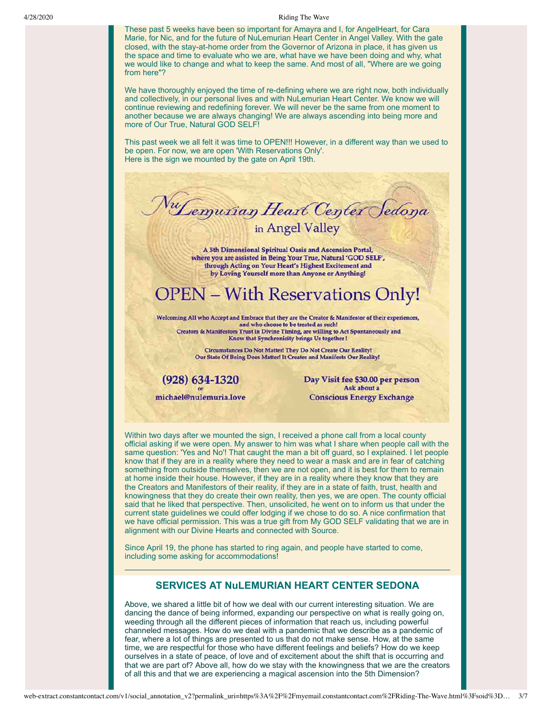These past 5 weeks have been so important for Amayra and I, for AngelHeart, for Cara Marie, for Nic, and for the future of NuLemurian Heart Center in Angel Valley. With the gate closed, with the stay-at-home order from the Governor of Arizona in place, it has given us the space and time to evaluate who we are, what have we have been doing and why, what we would like to change and what to keep the same. And most of all, "Where are we going from here"?

We have thoroughly enjoyed the time of re-defining where we are right now, both individually and collectively, in our personal lives and with NuLemurian Heart Center. We know we will continue reviewing and redefining forever. We will never be the same from one moment to another because we are always changing! We are always ascending into being more and more of Our True, Natural GOD SELF!

This past week we all felt it was time to OPEN!!! However, in a different way than we used to be open. For now, we are open 'With Reservations Only'. Here is the sign we mounted by the gate on April 19th.



A 5th Dimensional Spiritual Oasis and Ascension Portal, where you are assisted in Being Your True, Natural 'GOD SELF', through Acting on Your Heart's Highest Excitement and by Loving Yourself more than Anyone or Anything!

# **OPEN - With Reservations Only!**

Welcoming All who Accept and Embrace that they are the Creator & Manifestor of their experiences, and who choose to be treated as such! Creators & Manifestors Trust in Divine Timing, are willing to Act Spontaneously and Know that Synchronicity brings Us together !

> Circumstances Do Not Matter! They Do Not Create Our Reality! Our State Of Being Does Matter! It Creates and Manifests Our Reality!

 $(928) 634 - 1320$ michael@nulemuria.love Day Visit fee \$30.00 per person Ask about a **Conscious Energy Exchange** 

Within two days after we mounted the sign, I received a phone call from a local county official asking if we were open. My answer to him was what I share when people call with the same question: 'Yes and No'! That caught the man a bit off guard, so I explained. I let people know that if they are in a reality where they need to wear a mask and are in fear of catching something from outside themselves, then we are not open, and it is best for them to remain at home inside their house. However, if they are in a reality where they know that they are the Creators and Manifestors of their reality, if they are in a state of faith, trust, health and knowingness that they do create their own reality, then yes, we are open. The county official said that he liked that perspective. Then, unsolicited, he went on to inform us that under the current state guidelines we could offer lodging if we chose to do so. A nice confirmation that we have official permission. This was a true gift from My GOD SELF validating that we are in alignment with our Divine Hearts and connected with Source.

Since April 19, the phone has started to ring again, and people have started to come, including some asking for accommodations!

### **SERVICES AT NuLEMURIAN HEART CENTER SEDONA**

Above, we shared a little bit of how we deal with our current interesting situation. We are dancing the dance of being informed, expanding our perspective on what is really going on, weeding through all the different pieces of information that reach us, including powerful channeled messages. How do we deal with a pandemic that we describe as a pandemic of fear, where a lot of things are presented to us that do not make sense. How, at the same time, we are respectful for those who have different feelings and beliefs? How do we keep ourselves in a state of peace, of love and of excitement about the shift that is occurring and that we are part of? Above all, how do we stay with the knowingness that we are the creators of all this and that we are experiencing a magical ascension into the 5th Dimension?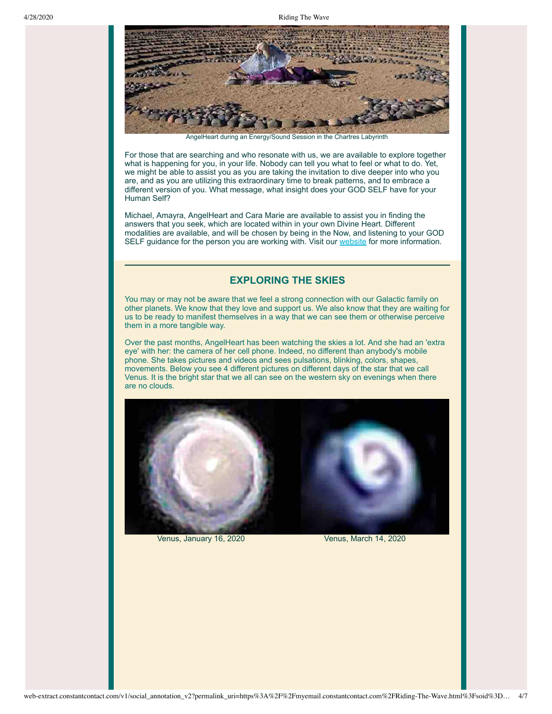

AngelHeart during an Energy/Sound Session in the Chartres Labyrinth

For those that are searching and who resonate with us, we are available to explore together what is happening for you, in your life. Nobody can tell you what to feel or what to do. Yet, we might be able to assist you as you are taking the invitation to dive deeper into who you are, and as you are utilizing this extraordinary time to break patterns, and to embrace a different version of you. What message, what insight does your GOD SELF have for your Human Self?

Michael, Amayra, AngelHeart and Cara Marie are available to assist you in finding the answers that you seek, which are located within in your own Divine Heart. Different modalities are available, and will be chosen by being in the Now, and listening to your GOD SELF guidance for the person you are working with. Visit our [website](http://www.angelvalleysedona.com/pages/services.html?utm_source=Newsletter%2C+April+25%2C+2020&utm_campaign=Newsletter+April+25%2C+2020&utm_medium=email) for more information.

#### **EXPLORING THE SKIES**

You may or may not be aware that we feel a strong connection with our Galactic family on other planets. We know that they love and support us. We also know that they are waiting for us to be ready to manifest themselves in a way that we can see them or otherwise perceive them in a more tangible way.

Over the past months, AngelHeart has been watching the skies a lot. And she had an 'extra eye' with her: the camera of her cell phone. Indeed, no different than anybody's mobile phone. She takes pictures and videos and sees pulsations, blinking, colors, shapes, movements. Below you see 4 different pictures on different days of the star that we call Venus. It is the bright star that we all can see on the western sky on evenings when there are no clouds.



Venus, January 16, 2020 Venus, March 14, 2020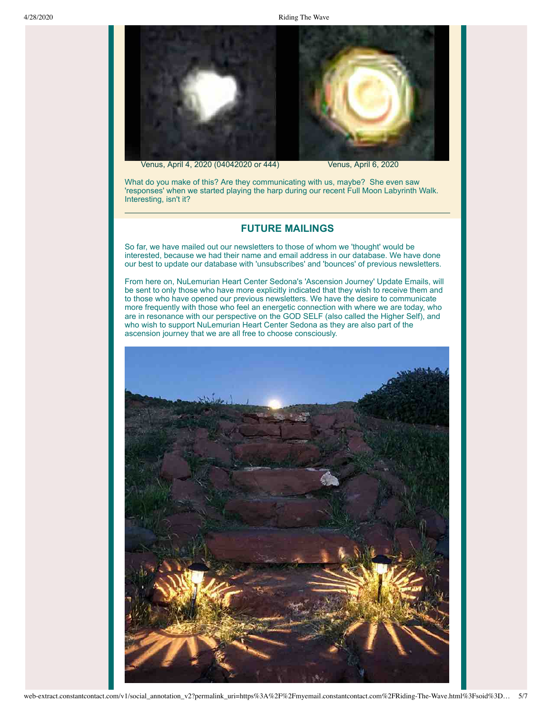

What do you make of this? Are they communicating with us, maybe? She even saw 'responses' when we started playing the harp during our recent Full Moon Labyrinth Walk. Interesting, isn't it?

#### **FUTURE MAILINGS**

So far, we have mailed out our newsletters to those of whom we 'thought' would be interested, because we had their name and email address in our database. We have done our best to update our database with 'unsubscribes' and 'bounces' of previous newsletters.

From here on, NuLemurian Heart Center Sedona's 'Ascension Journey' Update Emails, will be sent to only those who have more explicitly indicated that they wish to receive them and to those who have opened our previous newsletters. We have the desire to communicate more frequently with those who feel an energetic connection with where we are today, who are in resonance with our perspective on the GOD SELF (also called the Higher Self), and who wish to support NuLemurian Heart Center Sedona as they are also part of the ascension journey that we are all free to choose consciously.

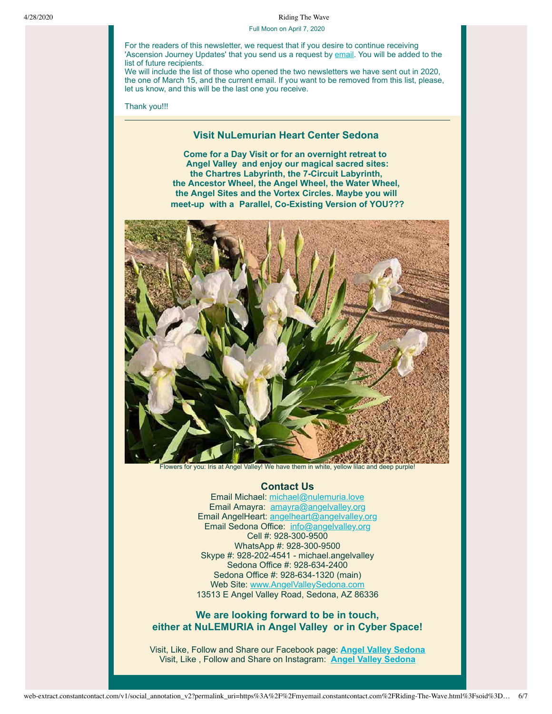Full Moon on April 7, 2020

For the readers of this newsletter, we request that if you desire to continue receiving 'Ascension Journey Updates' that you send us a request by [email.](mailto:amayra@angelvalley.org) You will be added to the list of future recipients.

We will include the list of those who opened the two newsletters we have sent out in 2020, the one of March 15, and the current email. If you want to be removed from this list, please, let us know, and this will be the last one you receive.

Thank you!!!

#### **Visit NuLemurian Heart Center Sedona**

**Come for a Day Visit or for an overnight retreat to Angel Valley and enjoy our magical sacred sites: the Chartres Labyrinth, the 7-Circuit Labyrinth, the Ancestor Wheel, the Angel Wheel, the Water Wheel, the Angel Sites and the Vortex Circles. Maybe you will meet-up with a Parallel, Co-Existing Version of YOU???**



Flowers for you: Iris at Angel Valley! We have them in white, yellow lilac and deep purple!

#### **Contact Us**

Email Michael: [michael@nulemuria.love](mailto:michael@nulemuria.love) Email Amayra: [amayra@angelvalley.org](mailto:amayra@angelvalley.org) Email AngelHeart: [angelheart@angelvalley.org](mailto:angelheart@angelvalley.org) Email Sedona Office: [info@angelvalley.org](mailto:info@angelvalley.org) Cell #: 928-300-9500 WhatsApp #: 928-300-9500 Skype #: 928-202-4541 - michael.angelvalley Sedona Office #: 928-634-2400 Sedona Office #: 928-634-1320 (main) Web Site: [www.AngelValleySedona.com](http://www.angelvalleysedona.com/?utm_source=Newsletter%2C+April+25%2C+2020&utm_campaign=Newsletter+April+25%2C+2020&utm_medium=email) 13513 E Angel Valley Road, Sedona, AZ 86336

## **We are looking forward to be in touch, either at NuLEMURIA in Angel Valley or in Cyber Space!**

Visit, Like, Follow and Share our Facebook page: **[Angel Valley Sedona](https://www.facebook.com/angel.valley.sedona/)** Visit, Like , Follow and Share on Instagram: **[Angel Valley Sedona](https://www.instagram.com/angelvalleysedona/?utm_source=Newsletter%2C+April+25%2C+2020&utm_campaign=Newsletter+April+25%2C+2020&utm_medium=email)**